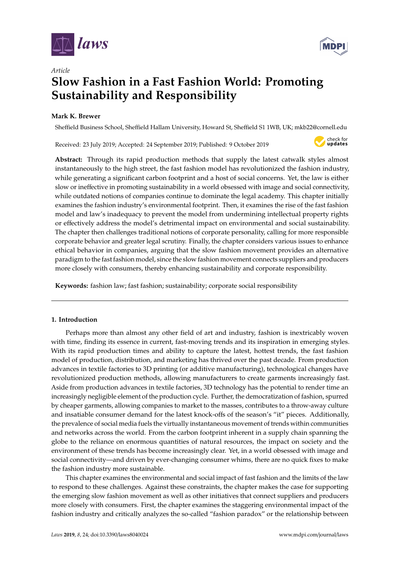

*Article*



# **Slow Fashion in a Fast Fashion World: Promoting Sustainability and Responsibility**

# **Mark K. Brewer**

Sheffield Business School, Sheffield Hallam University, Howard St, Sheffield S1 1WB, UK; mkb22@cornell.edu

Received: 23 July 2019; Accepted: 24 September 2019; Published: 9 October 2019



**Abstract:** Through its rapid production methods that supply the latest catwalk styles almost instantaneously to the high street, the fast fashion model has revolutionized the fashion industry, while generating a significant carbon footprint and a host of social concerns. Yet, the law is either slow or ineffective in promoting sustainability in a world obsessed with image and social connectivity, while outdated notions of companies continue to dominate the legal academy. This chapter initially examines the fashion industry's environmental footprint. Then, it examines the rise of the fast fashion model and law's inadequacy to prevent the model from undermining intellectual property rights or effectively address the model's detrimental impact on environmental and social sustainability. The chapter then challenges traditional notions of corporate personality, calling for more responsible corporate behavior and greater legal scrutiny. Finally, the chapter considers various issues to enhance ethical behavior in companies, arguing that the slow fashion movement provides an alternative paradigm to the fast fashion model, since the slow fashion movement connects suppliers and producers more closely with consumers, thereby enhancing sustainability and corporate responsibility.

**Keywords:** fashion law; fast fashion; sustainability; corporate social responsibility

## **1. Introduction**

Perhaps more than almost any other field of art and industry, fashion is inextricably woven with time, finding its essence in current, fast-moving trends and its inspiration in emerging styles. With its rapid production times and ability to capture the latest, hottest trends, the fast fashion model of production, distribution, and marketing has thrived over the past decade. From production advances in textile factories to 3D printing (or additive manufacturing), technological changes have revolutionized production methods, allowing manufacturers to create garments increasingly fast. Aside from production advances in textile factories, 3D technology has the potential to render time an increasingly negligible element of the production cycle. Further, the democratization of fashion, spurred by cheaper garments, allowing companies to market to the masses, contributes to a throw-away culture and insatiable consumer demand for the latest knock-offs of the season's "it" pieces. Additionally, the prevalence of social media fuels the virtually instantaneous movement of trends within communities and networks across the world. From the carbon footprint inherent in a supply chain spanning the globe to the reliance on enormous quantities of natural resources, the impact on society and the environment of these trends has become increasingly clear. Yet, in a world obsessed with image and social connectivity—and driven by ever-changing consumer whims, there are no quick fixes to make the fashion industry more sustainable.

This chapter examines the environmental and social impact of fast fashion and the limits of the law to respond to these challenges. Against these constraints, the chapter makes the case for supporting the emerging slow fashion movement as well as other initiatives that connect suppliers and producers more closely with consumers. First, the chapter examines the staggering environmental impact of the fashion industry and critically analyzes the so-called "fashion paradox" or the relationship between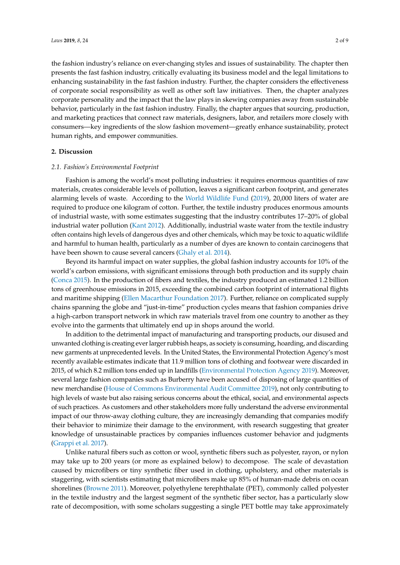the fashion industry's reliance on ever-changing styles and issues of sustainability. The chapter then presents the fast fashion industry, critically evaluating its business model and the legal limitations to enhancing sustainability in the fast fashion industry. Further, the chapter considers the effectiveness of corporate social responsibility as well as other soft law initiatives. Then, the chapter analyzes corporate personality and the impact that the law plays in skewing companies away from sustainable behavior, particularly in the fast fashion industry. Finally, the chapter argues that sourcing, production, and marketing practices that connect raw materials, designers, labor, and retailers more closely with consumers—key ingredients of the slow fashion movement—greatly enhance sustainability, protect human rights, and empower communities.

#### **2. Discussion**

#### *2.1. Fashion's Environmental Footprint*

Fashion is among the world's most polluting industries: it requires enormous quantities of raw materials, creates considerable levels of pollution, leaves a significant carbon footprint, and generates alarming levels of waste. According to the [World Wildlife Fund](#page-8-0) [\(2019\)](#page-8-0), 20,000 liters of water are required to produce one kilogram of cotton. Further, the textile industry produces enormous amounts of industrial waste, with some estimates suggesting that the industry contributes 17–20% of global industrial water pollution [\(Kant](#page-8-1) [2012\)](#page-8-1). Additionally, industrial waste water from the textile industry often contains high levels of dangerous dyes and other chemicals, which may be toxic to aquatic wildlife and harmful to human health, particularly as a number of dyes are known to contain carcinogens that have been shown to cause several cancers [\(Ghaly et al.](#page-7-0) [2014\)](#page-7-0).

Beyond its harmful impact on water supplies, the global fashion industry accounts for 10% of the world's carbon emissions, with significant emissions through both production and its supply chain [\(Conca](#page-7-1) [2015\)](#page-7-1). In the production of fibers and textiles, the industry produced an estimated 1.2 billion tons of greenhouse emissions in 2015, exceeding the combined carbon footprint of international flights and maritime shipping [\(Ellen Macarthur Foundation](#page-7-2) [2017\)](#page-7-2). Further, reliance on complicated supply chains spanning the globe and "just-in-time" production cycles means that fashion companies drive a high-carbon transport network in which raw materials travel from one country to another as they evolve into the garments that ultimately end up in shops around the world.

In addition to the detrimental impact of manufacturing and transporting products, our disused and unwanted clothing is creating ever larger rubbish heaps, as society is consuming, hoarding, and discarding new garments at unprecedented levels. In the United States, the Environmental Protection Agency's most recently available estimates indicate that 11.9 million tons of clothing and footwear were discarded in 2015, of which 8.2 million tons ended up in landfills [\(Environmental Protection Agency](#page-7-3) [2019\)](#page-7-3). Moreover, several large fashion companies such as Burberry have been accused of disposing of large quantities of new merchandise [\(House of Commons Environmental Audit Committee](#page-8-2) [2019\)](#page-8-2), not only contributing to high levels of waste but also raising serious concerns about the ethical, social, and environmental aspects of such practices. As customers and other stakeholders more fully understand the adverse environmental impact of our throw-away clothing culture, they are increasingly demanding that companies modify their behavior to minimize their damage to the environment, with research suggesting that greater knowledge of unsustainable practices by companies influences customer behavior and judgments [\(Grappi et al.](#page-8-3) [2017\)](#page-8-3).

Unlike natural fibers such as cotton or wool, synthetic fibers such as polyester, rayon, or nylon may take up to 200 years (or more as explained below) to decompose. The scale of devastation caused by microfibers or tiny synthetic fiber used in clothing, upholstery, and other materials is staggering, with scientists estimating that microfibers make up 85% of human-made debris on ocean shorelines [\(Browne](#page-7-4) [2011\)](#page-7-4). Moreover, polyethylene terephthalate (PET), commonly called polyester in the textile industry and the largest segment of the synthetic fiber sector, has a particularly slow rate of decomposition, with some scholars suggesting a single PET bottle may take approximately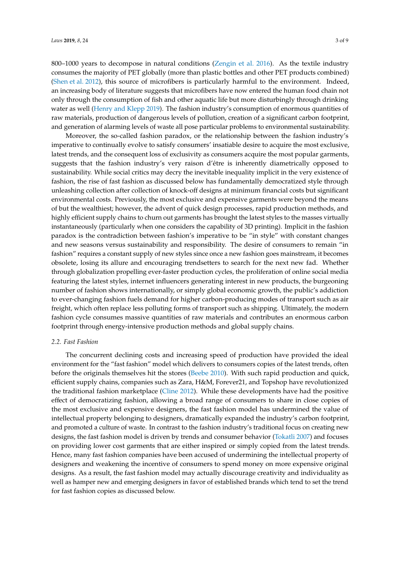800–1000 years to decompose in natural conditions [\(Zengin et al.](#page-8-4) [2016\)](#page-8-4). As the textile industry consumes the majority of PET globally (more than plastic bottles and other PET products combined) [\(Shen et al.](#page-8-5) [2012\)](#page-8-5), this source of microfibers is particularly harmful to the environment. Indeed, an increasing body of literature suggests that microfibers have now entered the human food chain not only through the consumption of fish and other aquatic life but more disturbingly through drinking water as well [\(Henry and Klepp](#page-8-6) [2019\)](#page-8-6). The fashion industry's consumption of enormous quantities of raw materials, production of dangerous levels of pollution, creation of a significant carbon footprint, and generation of alarming levels of waste all pose particular problems to environmental sustainability.

Moreover, the so-called fashion paradox, or the relationship between the fashion industry's imperative to continually evolve to satisfy consumers' insatiable desire to acquire the most exclusive, latest trends, and the consequent loss of exclusivity as consumers acquire the most popular garments, suggests that the fashion industry's very raison d'être is inherently diametrically opposed to sustainability. While social critics may decry the inevitable inequality implicit in the very existence of fashion, the rise of fast fashion as discussed below has fundamentally democratized style through unleashing collection after collection of knock-off designs at minimum financial costs but significant environmental costs. Previously, the most exclusive and expensive garments were beyond the means of but the wealthiest; however, the advent of quick design processes, rapid production methods, and highly efficient supply chains to churn out garments has brought the latest styles to the masses virtually instantaneously (particularly when one considers the capability of 3D printing). Implicit in the fashion paradox is the contradiction between fashion's imperative to be "in style" with constant changes and new seasons versus sustainability and responsibility. The desire of consumers to remain "in fashion" requires a constant supply of new styles since once a new fashion goes mainstream, it becomes obsolete, losing its allure and encouraging trendsetters to search for the next new fad. Whether through globalization propelling ever-faster production cycles, the proliferation of online social media featuring the latest styles, internet influencers generating interest in new products, the burgeoning number of fashion shows internationally, or simply global economic growth, the public's addiction to ever-changing fashion fuels demand for higher carbon-producing modes of transport such as air freight, which often replace less polluting forms of transport such as shipping. Ultimately, the modern fashion cycle consumes massive quantities of raw materials and contributes an enormous carbon footprint through energy-intensive production methods and global supply chains.

### *2.2. Fast Fashion*

The concurrent declining costs and increasing speed of production have provided the ideal environment for the "fast fashion" model which delivers to consumers copies of the latest trends, often before the originals themselves hit the stores [\(Beebe](#page-7-5) [2010\)](#page-7-5). With such rapid production and quick, efficient supply chains, companies such as Zara, H&M, Forever21, and Topshop have revolutionized the traditional fashion marketplace [\(Cline](#page-7-6) [2012\)](#page-7-6). While these developments have had the positive effect of democratizing fashion, allowing a broad range of consumers to share in close copies of the most exclusive and expensive designers, the fast fashion model has undermined the value of intellectual property belonging to designers, dramatically expanded the industry's carbon footprint, and promoted a culture of waste. In contrast to the fashion industry's traditional focus on creating new designs, the fast fashion model is driven by trends and consumer behavior [\(Tokatli](#page-8-7) [2007\)](#page-8-7) and focuses on providing lower cost garments that are either inspired or simply copied from the latest trends. Hence, many fast fashion companies have been accused of undermining the intellectual property of designers and weakening the incentive of consumers to spend money on more expensive original designs. As a result, the fast fashion model may actually discourage creativity and individuality as well as hamper new and emerging designers in favor of established brands which tend to set the trend for fast fashion copies as discussed below.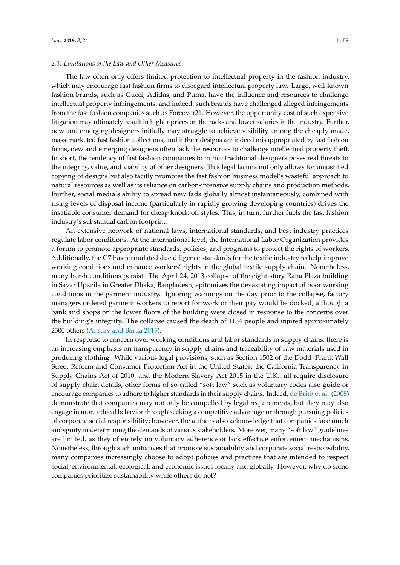### *2.3. Limitations of the Law and Other Measures*

The law often only offers limited protection to intellectual property in the fashion industry, which may encourage fast fashion firms to disregard intellectual property law. Large, well-known fashion brands, such as Gucci, Adidas, and Puma, have the influence and resources to challenge intellectual property infringements, and indeed, such brands have challenged alleged infringements from the fast fashion companies such as Foreover21. However, the opportunity cost of such expensive litigation may ultimately result in higher prices on the racks and lower salaries in the industry. Further, new and emerging designers initially may struggle to achieve visibility among the cheaply made, mass-marketed fast fashion collections, and if their designs are indeed misappropriated by fast fashion firms, new and emerging designers often lack the resources to challenge intellectual property theft. In short, the tendency of fast fashion companies to mimic traditional designers poses real threats to the integrity, value, and viability of other designers. This legal lacuna not only allows for unjustified copying of designs but also tacitly promotes the fast fashion business model's wasteful approach to natural resources as well as its reliance on carbon-intensive supply chains and production methods. Further, social media's ability to spread new fads globally almost instantaneously, combined with rising levels of disposal income (particularly in rapidly growing developing countries) drives the insatiable consumer demand for cheap knock-off styles. This, in turn, further fuels the fast fashion industry's substantial carbon footprint.

An extensive network of national laws, international standards, and best industry practices regulate labor conditions. At the international level, the International Labor Organization provides a forum to promote appropriate standards, policies, and programs to protect the rights of workers. Additionally, the G7 has formulated due diligence standards for the textile industry to help improve working conditions and enhance workers' rights in the global textile supply chain. Nonetheless, many harsh conditions persist. The April 24, 2013 collapse of the eight-story Rana Plaza building in Savar Upazila in Greater Dhaka, Bangladesh, epitomizes the devastating impact of poor working conditions in the garment industry. Ignoring warnings on the day prior to the collapse, factory managers ordered garment workers to report for work or their pay would be docked, although a bank and shops on the lower floors of the building were closed in response to the concerns over the building's integrity. The collapse caused the death of 1134 people and injured approximately 2500 others [\(Ansary and Barua](#page-7-7) [2015\)](#page-7-7).

In response to concern over working conditions and labor standards in supply chains, there is an increasing emphasis on transparency in supply chains and traceability of raw materials used in producing clothing. While various legal provisions, such as Section 1502 of the Dodd–Frank Wall Street Reform and Consumer Protection Act in the United States, the California Transparency in Supply Chains Act of 2010, and the Modern Slavery Act 2015 in the U.K., all require disclosure of supply chain details, other forms of so-called "soft law" such as voluntary codes also guide or encourage companies to adhere to higher standards in their supply chains. Indeed, [de Brito et al.](#page-7-8) [\(2008\)](#page-7-8) demonstrate that companies may not only be compelled by legal requirements, but they may also engage in more ethical behavior through seeking a competitive advantage or through pursuing policies of corporate social responsibility; however, the authors also acknowledge that companies face much ambiguity in determining the demands of various stakeholders. Moreover, many "soft law" guidelines are limited, as they often rely on voluntary adherence or lack effective enforcement mechanisms. Nonetheless, through such initiatives that promote sustainability and corporate social responsibility, many companies increasingly choose to adopt policies and practices that are intended to respect social, environmental, ecological, and economic issues locally and globally. However, why do some companies prioritize sustainability while others do not?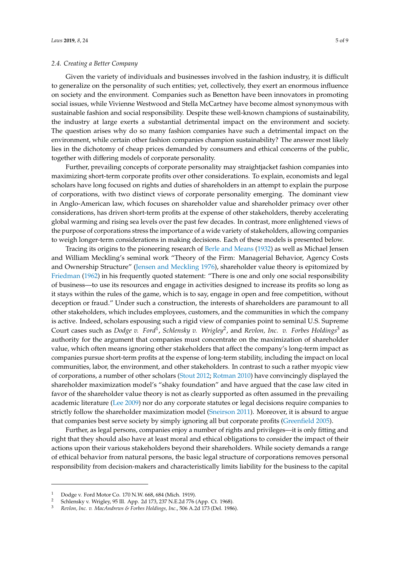## *2.4. Creating a Better Company*

Given the variety of individuals and businesses involved in the fashion industry, it is difficult to generalize on the personality of such entities; yet, collectively, they exert an enormous influence on society and the environment. Companies such as Benetton have been innovators in promoting social issues, while Vivienne Westwood and Stella McCartney have become almost synonymous with sustainable fashion and social responsibility. Despite these well-known champions of sustainability, the industry at large exerts a substantial detrimental impact on the environment and society. The question arises why do so many fashion companies have such a detrimental impact on the environment, while certain other fashion companies champion sustainability? The answer most likely lies in the dichotomy of cheap prices demanded by consumers and ethical concerns of the public, together with differing models of corporate personality.

Further, prevailing concepts of corporate personality may straightjacket fashion companies into maximizing short-term corporate profits over other considerations. To explain, economists and legal scholars have long focused on rights and duties of shareholders in an attempt to explain the purpose of corporations, with two distinct views of corporate personality emerging. The dominant view in Anglo-American law, which focuses on shareholder value and shareholder primacy over other considerations, has driven short-term profits at the expense of other stakeholders, thereby accelerating global warming and rising sea levels over the past few decades. In contrast, more enlightened views of the purpose of corporations stress the importance of a wide variety of stakeholders, allowing companies to weigh longer-term considerations in making decisions. Each of these models is presented below.

Tracing its origins to the pioneering research of [Berle and Means](#page-7-9) [\(1932\)](#page-7-9) as well as Michael Jensen and William Meckling's seminal work "Theory of the Firm: Managerial Behavior, Agency Costs and Ownership Structure" [\(Jensen and Meckling](#page-8-8) [1976\)](#page-8-8), shareholder value theory is epitomized by [Friedman](#page-7-10) [\(1962\)](#page-7-10) in his frequently quoted statement: "There is one and only one social responsibility of business—to use its resources and engage in activities designed to increase its profits so long as it stays within the rules of the game, which is to say, engage in open and free competition, without deception or fraud." Under such a construction, the interests of shareholders are paramount to all other stakeholders, which includes employees, customers, and the communities in which the company is active. Indeed, scholars espousing such a rigid view of companies point to seminal U.S. Supreme Court cases such as *Dodge v. Ford<sup>1</sup>*, *Schlensky v. Wrigley<sup>2</sup>, and Revlon, Inc. v. Forbes Holdings<sup>3</sup> as* authority for the argument that companies must concentrate on the maximization of shareholder value, which often means ignoring other stakeholders that affect the company's long-term impact as companies pursue short-term profits at the expense of long-term stability, including the impact on local communities, labor, the environment, and other stakeholders. In contrast to such a rather myopic view of corporations, a number of other scholars [\(Stout](#page-8-9) [2012;](#page-8-9) [Rotman](#page-8-10) [2010\)](#page-8-10) have convincingly displayed the shareholder maximization model's "shaky foundation" and have argued that the case law cited in favor of the shareholder value theory is not as clearly supported as often assumed in the prevailing academic literature [\(Lee](#page-8-11) [2009\)](#page-8-11) nor do any corporate statutes or legal decisions require companies to strictly follow the shareholder maximization model [\(Sneirson](#page-8-12) [2011\)](#page-8-12). Moreover, it is absurd to argue that companies best serve society by simply ignoring all but corporate profits [\(Greenfield](#page-8-13) [2005\)](#page-8-13).

Further, as legal persons, companies enjoy a number of rights and privileges—it is only fitting and right that they should also have at least moral and ethical obligations to consider the impact of their actions upon their various stakeholders beyond their shareholders. While society demands a range of ethical behavior from natural persons, the basic legal structure of corporations removes personal responsibility from decision-makers and characteristically limits liability for the business to the capital

<sup>1</sup> Dodge v. Ford Motor Co. 170 N.W. 668, 684 (Mich. 1919).

<sup>2</sup> Schlensky v. Wrigley, 95 Ill. App. 2d 173, 237 N.E.2d 776 (App. Ct. 1968).

<sup>3</sup> *Revlon, Inc. v. MacAndrews & Forbes Holdings, Inc*., 506 A.2d 173 (Del. 1986).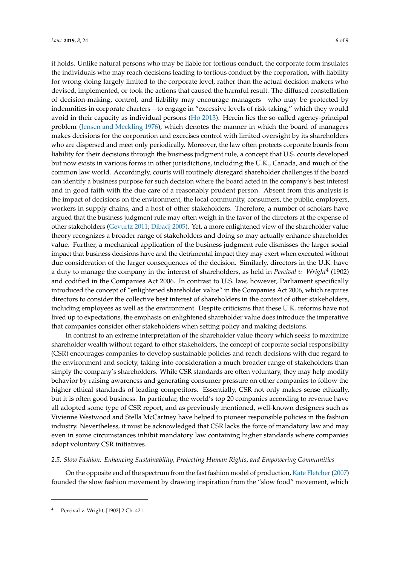it holds. Unlike natural persons who may be liable for tortious conduct, the corporate form insulates the individuals who may reach decisions leading to tortious conduct by the corporation, with liability for wrong-doing largely limited to the corporate level, rather than the actual decision-makers who devised, implemented, or took the actions that caused the harmful result. The diffused constellation of decision-making, control, and liability may encourage managers—who may be protected by indemnities in corporate charters—to engage in "excessive levels of risk-taking," which they would avoid in their capacity as individual persons [\(Ho](#page-8-14) [2013\)](#page-8-14). Herein lies the so-called agency-principal problem [\(Jensen and Meckling](#page-8-8) [1976\)](#page-8-8), which denotes the manner in which the board of managers makes decisions for the corporation and exercises control with limited oversight by its shareholders who are dispersed and meet only periodically. Moreover, the law often protects corporate boards from liability for their decisions through the business judgment rule, a concept that U.S. courts developed but now exists in various forms in other jurisdictions, including the U.K., Canada, and much of the common law world. Accordingly, courts will routinely disregard shareholder challenges if the board can identify a business purpose for such decision where the board acted in the company's best interest and in good faith with the due care of a reasonably prudent person. Absent from this analysis is the impact of decisions on the environment, the local community, consumers, the public, employers, workers in supply chains, and a host of other stakeholders. Therefore, a number of scholars have argued that the business judgment rule may often weigh in the favor of the directors at the expense of other stakeholders [\(Gevurtz](#page-7-11) [2011;](#page-7-11) [Dibadj](#page-7-12) [2005\)](#page-7-12). Yet, a more enlightened view of the shareholder value theory recognizes a broader range of stakeholders and doing so may actually enhance shareholder value. Further, a mechanical application of the business judgment rule dismisses the larger social impact that business decisions have and the detrimental impact they may exert when executed without due consideration of the larger consequences of the decision. Similarly, directors in the U.K. have a duty to manage the company in the interest of shareholders, as held in *Percival v. Wright*<sup>4</sup> (1902) and codified in the Companies Act 2006. In contrast to U.S. law, however, Parliament specifically introduced the concept of "enlightened shareholder value" in the Companies Act 2006, which requires directors to consider the collective best interest of shareholders in the context of other stakeholders, including employees as well as the environment. Despite criticisms that these U.K. reforms have not lived up to expectations, the emphasis on enlightened shareholder value does introduce the imperative that companies consider other stakeholders when setting policy and making decisions.

In contrast to an extreme interpretation of the shareholder value theory which seeks to maximize shareholder wealth without regard to other stakeholders, the concept of corporate social responsibility (CSR) encourages companies to develop sustainable policies and reach decisions with due regard to the environment and society, taking into consideration a much broader range of stakeholders than simply the company's shareholders. While CSR standards are often voluntary, they may help modify behavior by raising awareness and generating consumer pressure on other companies to follow the higher ethical standards of leading competitors. Essentially, CSR not only makes sense ethically, but it is often good business. In particular, the world's top 20 companies according to revenue have all adopted some type of CSR report, and as previously mentioned, well-known designers such as Vivienne Westwood and Stella McCartney have helped to pioneer responsible policies in the fashion industry. Nevertheless, it must be acknowledged that CSR lacks the force of mandatory law and may even in some circumstances inhibit mandatory law containing higher standards where companies adopt voluntary CSR initiatives.

#### *2.5. Slow Fashion: Enhancing Sustainability, Protecting Human Rights, and Empowering Communities*

On the opposite end of the spectrum from the fast fashion model of production, Kate Fletcher (2007) founded the slow fashion movement by drawing inspiration from the "slow food" movement, which

Percival v. Wright, [1902] 2 Ch. 421.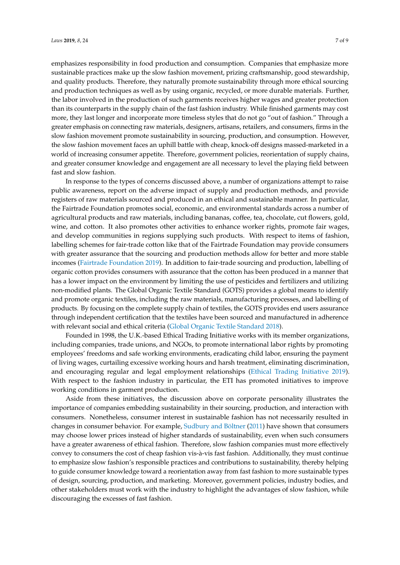emphasizes responsibility in food production and consumption. Companies that emphasize more sustainable practices make up the slow fashion movement, prizing craftsmanship, good stewardship, and quality products. Therefore, they naturally promote sustainability through more ethical sourcing and production techniques as well as by using organic, recycled, or more durable materials. Further, the labor involved in the production of such garments receives higher wages and greater protection than its counterparts in the supply chain of the fast fashion industry. While finished garments may cost more, they last longer and incorporate more timeless styles that do not go "out of fashion." Through a greater emphasis on connecting raw materials, designers, artisans, retailers, and consumers, firms in the slow fashion movement promote sustainability in sourcing, production, and consumption. However, the slow fashion movement faces an uphill battle with cheap, knock-off designs massed-marketed in a world of increasing consumer appetite. Therefore, government policies, reorientation of supply chains, and greater consumer knowledge and engagement are all necessary to level the playing field between fast and slow fashion.

In response to the types of concerns discussed above, a number of organizations attempt to raise public awareness, report on the adverse impact of supply and production methods, and provide registers of raw materials sourced and produced in an ethical and sustainable manner. In particular, the Fairtrade Foundation promotes social, economic, and environmental standards across a number of agricultural products and raw materials, including bananas, coffee, tea, chocolate, cut flowers, gold, wine, and cotton. It also promotes other activities to enhance worker rights, promote fair wages, and develop communities in regions supplying such products. With respect to items of fashion, labelling schemes for fair-trade cotton like that of the Fairtrade Foundation may provide consumers with greater assurance that the sourcing and production methods allow for better and more stable incomes [\(Fairtrade Foundation](#page-7-14) [2019\)](#page-7-14). In addition to fair-trade sourcing and production, labelling of organic cotton provides consumers with assurance that the cotton has been produced in a manner that has a lower impact on the environment by limiting the use of pesticides and fertilizers and utilizing non-modified plants. The Global Organic Textile Standard (GOTS) provides a global means to identify and promote organic textiles, including the raw materials, manufacturing processes, and labelling of products. By focusing on the complete supply chain of textiles, the GOTS provides end users assurance through independent certification that the textiles have been sourced and manufactured in adherence with relevant social and ethical criteria [\(Global Organic Textile Standard](#page-7-15) [2018\)](#page-7-15).

Founded in 1998, the U.K.-based Ethical Trading Initiative works with its member organizations, including companies, trade unions, and NGOs, to promote international labor rights by promoting employees' freedoms and safe working environments, eradicating child labor, ensuring the payment of living wages, curtailing excessive working hours and harsh treatment, eliminating discrimination, and encouraging regular and legal employment relationships [\(Ethical Trading Initiative](#page-7-16) [2019\)](#page-7-16). With respect to the fashion industry in particular, the ETI has promoted initiatives to improve working conditions in garment production.

Aside from these initiatives, the discussion above on corporate personality illustrates the importance of companies embedding sustainability in their sourcing, production, and interaction with consumers. Nonetheless, consumer interest in sustainable fashion has not necessarily resulted in changes in consumer behavior. For example, [Sudbury and Böltner](#page-8-15) [\(2011\)](#page-8-15) have shown that consumers may choose lower prices instead of higher standards of sustainability, even when such consumers have a greater awareness of ethical fashion. Therefore, slow fashion companies must more effectively convey to consumers the cost of cheap fashion vis-à-vis fast fashion. Additionally, they must continue to emphasize slow fashion's responsible practices and contributions to sustainability, thereby helping to guide consumer knowledge toward a reorientation away from fast fashion to more sustainable types of design, sourcing, production, and marketing. Moreover, government policies, industry bodies, and other stakeholders must work with the industry to highlight the advantages of slow fashion, while discouraging the excesses of fast fashion.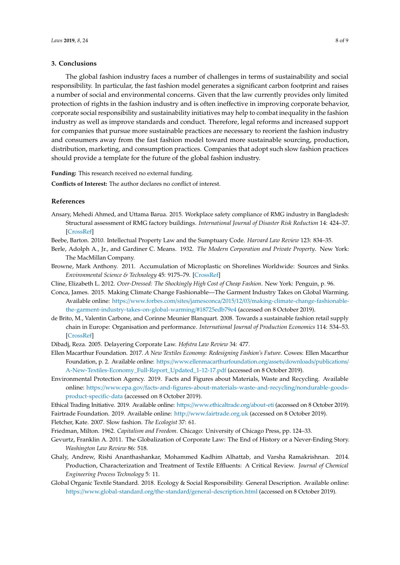### **3. Conclusions**

The global fashion industry faces a number of challenges in terms of sustainability and social responsibility. In particular, the fast fashion model generates a significant carbon footprint and raises a number of social and environmental concerns. Given that the law currently provides only limited protection of rights in the fashion industry and is often ineffective in improving corporate behavior, corporate social responsibility and sustainability initiatives may help to combat inequality in the fashion industry as well as improve standards and conduct. Therefore, legal reforms and increased support for companies that pursue more sustainable practices are necessary to reorient the fashion industry and consumers away from the fast fashion model toward more sustainable sourcing, production, distribution, marketing, and consumption practices. Companies that adopt such slow fashion practices should provide a template for the future of the global fashion industry.

**Funding:** This research received no external funding.

**Conflicts of Interest:** The author declares no conflict of interest.

## **References**

- <span id="page-7-7"></span>Ansary, Mehedi Ahmed, and Uttama Barua. 2015. Workplace safety compliance of RMG industry in Bangladesh: Structural assessment of RMG factory buildings. *International Journal of Disaster Risk Reduction* 14: 424–37. [\[CrossRef\]](http://dx.doi.org/10.1016/j.ijdrr.2015.09.008)
- <span id="page-7-5"></span>Beebe, Barton. 2010. Intellectual Property Law and the Sumptuary Code. *Harvard Law Review* 123: 834–35.
- <span id="page-7-9"></span>Berle, Adolph A., Jr., and Gardiner C. Means. 1932. *The Modern Corporation and Private Property*. New York: The MacMillan Company.
- <span id="page-7-4"></span>Browne, Mark Anthony. 2011. Accumulation of Microplastic on Shorelines Worldwide: Sources and Sinks. *Environmental Science & Technology* 45: 9175–79. [\[CrossRef\]](http://dx.doi.org/10.1021/es201811s)
- <span id="page-7-6"></span>Cline, Elizabeth L. 2012. *Over-Dressed: The Shockingly High Cost of Cheap Fashion*. New York: Penguin, p. 96.
- <span id="page-7-1"></span>Conca, James. 2015. Making Climate Change Fashionable—The Garment Industry Takes on Global Warming. Available online: https://www.forbes.com/sites/jamesconca/2015/12/03/[making-climate-change-fashionable](https://www.forbes.com/sites/jamesconca/2015/12/03/making-climate-change-fashionable-the-garment-industry-takes-on-global-warming/#18725edb79e4)[the-garment-industry-takes-on-global-warming](https://www.forbes.com/sites/jamesconca/2015/12/03/making-climate-change-fashionable-the-garment-industry-takes-on-global-warming/#18725edb79e4)/#18725edb79e4 (accessed on 8 October 2019).
- <span id="page-7-8"></span>de Brito, M., Valentin Carbone, and Corinne Meunier Blanquart. 2008. Towards a sustainable fashion retail supply chain in Europe: Organisation and performance. *International Journal of Production Economics* 114: 534–53. [\[CrossRef\]](http://dx.doi.org/10.1016/j.ijpe.2007.06.012)
- <span id="page-7-12"></span>Dibadj, Reza. 2005. Delayering Corporate Law. *Hofstra Law Review* 34: 477.
- <span id="page-7-2"></span>Ellen Macarthur Foundation. 2017. *A New Textiles Economy: Redesigning Fashion's Future*. Cowes: Ellen Macarthur Foundation, p. 2. Available online: https://[www.ellenmacarthurfoundation.org](https://www.ellenmacarthurfoundation.org/assets/downloads/publications/A-New-Textiles-Economy_Full-Report_Updated_1-12-17.pdf)/assets/downloads/publications/ [A-New-Textiles-Economy\\_Full-Report\\_Updated\\_1-12-17.pdf](https://www.ellenmacarthurfoundation.org/assets/downloads/publications/A-New-Textiles-Economy_Full-Report_Updated_1-12-17.pdf) (accessed on 8 October 2019).
- <span id="page-7-3"></span>Environmental Protection Agency. 2019. Facts and Figures about Materials, Waste and Recycling. Available online: https://www.epa.gov/[facts-and-figures-about-materials-waste-and-recycling](https://www.epa.gov/facts-and-figures-about-materials-waste-and-recycling/nondurable-goods-product-specific-data)/nondurable-goods[product-specific-data](https://www.epa.gov/facts-and-figures-about-materials-waste-and-recycling/nondurable-goods-product-specific-data) (accessed on 8 October 2019).
- <span id="page-7-16"></span><span id="page-7-14"></span>Ethical Trading Initiative. 2019. Available online: https://[www.ethicaltrade.org](https://www.ethicaltrade.org/about-eti)/about-eti (accessed on 8 October 2019). Fairtrade Foundation. 2019. Available online: http://[www.fairtrade.org.uk](http://www.fairtrade.org.uk) (accessed on 8 October 2019).

<span id="page-7-13"></span>Fletcher, Kate. 2007. Slow fashion. *The Ecologist* 37: 61.

<span id="page-7-10"></span>Friedman, Milton. 1962. *Capitalism and Freedom*. Chicago: University of Chicago Press, pp. 124–33.

- <span id="page-7-11"></span>Gevurtz, Franklin A. 2011. The Globalization of Corporate Law: The End of History or a Never-Ending Story. *Washington Law Review* 86: 518.
- <span id="page-7-0"></span>Ghaly, Andrew, Rishi Ananthashankar, Mohammed Kadhim Alhattab, and Varsha Ramakrishnan. 2014. Production, Characterization and Treatment of Textile Effluents: A Critical Review. *Journal of Chemical Engineering Process Technology* 5: 11.
- <span id="page-7-15"></span>Global Organic Textile Standard. 2018. Ecology & Social Responsibility. General Description. Available online: https://[www.global-standard.org](https://www.global-standard.org/the-standard/general-description.html)/the-standard/general-description.html (accessed on 8 October 2019).